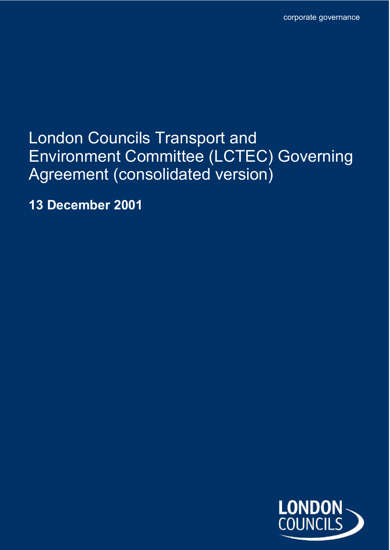# London Councils Transport and Environment Committee (LCTEC) Governing Agreement (consolidated version)

**13 December 2001**

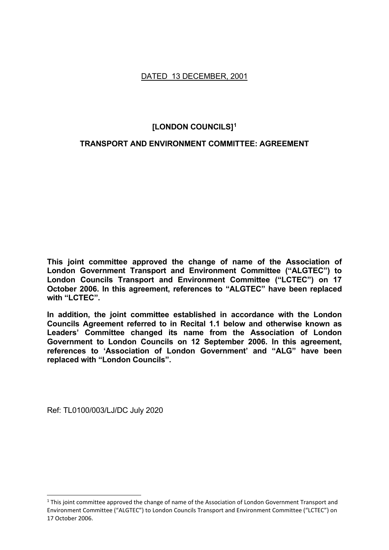## DATED 13 DECEMBER, 2001

## **[LONDON COUNCILS][1](#page-1-0)**

## **TRANSPORT AND ENVIRONMENT COMMITTEE: AGREEMENT**

**This joint committee approved the change of name of the Association of London Government Transport and Environment Committee ("ALGTEC") to London Councils Transport and Environment Committee ("LCTEC") on 17 October 2006. In this agreement, references to "ALGTEC" have been replaced with "LCTEC".**

**In addition, the joint committee established in accordance with the London Councils Agreement referred to in Recital 1.1 below and otherwise known as Leaders' Committee changed its name from the Association of London Government to London Councils on 12 September 2006. In this agreement, references to 'Association of London Government' and "ALG" have been replaced with "London Councils".**

Ref: TL0100/003/LJ/DC July 2020

<span id="page-1-0"></span> $1$  This joint committee approved the change of name of the Association of London Government Transport and Environment Committee ("ALGTEC") to London Councils Transport and Environment Committee ("LCTEC") on 17 October 2006.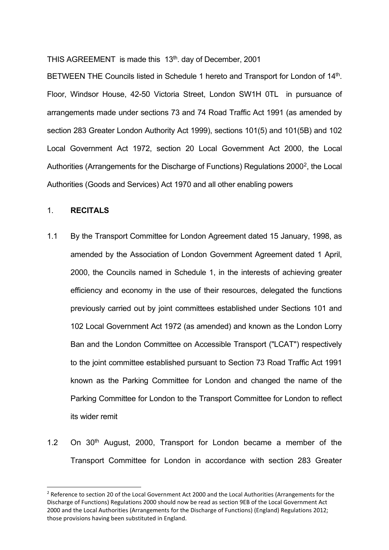THIS AGREEMENT is made this 13<sup>th</sup>. day of December, 2001

BETWEEN THE Councils listed in Schedule 1 hereto and Transport for London of 14<sup>th</sup>. Floor, Windsor House, 42-50 Victoria Street, London SW1H 0TL in pursuance of arrangements made under sections 73 and 74 Road Traffic Act 1991 (as amended by section 283 Greater London Authority Act 1999), sections 101(5) and 101(5B) and 102 Local Government Act 1972, section 20 Local Government Act 2000, the Local Authorities (Arrangements for the Discharge of Functions) Regulations 2000[2,](#page-2-0) the Local Authorities (Goods and Services) Act 1970 and all other enabling powers

#### 1. **RECITALS**

- 1.1 By the Transport Committee for London Agreement dated 15 January, 1998, as amended by the Association of London Government Agreement dated 1 April, 2000, the Councils named in Schedule 1, in the interests of achieving greater efficiency and economy in the use of their resources, delegated the functions previously carried out by joint committees established under Sections 101 and 102 Local Government Act 1972 (as amended) and known as the London Lorry Ban and the London Committee on Accessible Transport ("LCAT") respectively to the joint committee established pursuant to Section 73 Road Traffic Act 1991 known as the Parking Committee for London and changed the name of the Parking Committee for London to the Transport Committee for London to reflect its wider remit
- 1.2 On  $30<sup>th</sup>$  August, 2000, Transport for London became a member of the Transport Committee for London in accordance with section 283 Greater

<span id="page-2-0"></span><sup>&</sup>lt;sup>2</sup> Reference to section 20 of the Local Government Act 2000 and the Local Authorities (Arrangements for the Discharge of Functions) Regulations 2000 should now be read as section 9EB of the Local Government Act 2000 and the Local Authorities (Arrangements for the Discharge of Functions) (England) Regulations 2012; those provisions having been substituted in England.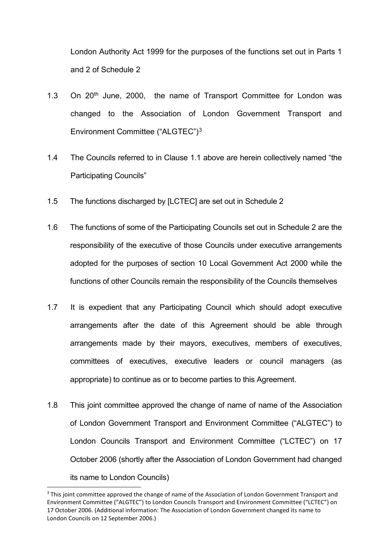London Authority Act 1999 for the purposes of the functions set out in Parts 1 and 2 of Schedule 2

- 1.3 On 20<sup>th</sup> June, 2000, the name of Transport Committee for London was changed to the Association of London Government Transport and Environment Committee ("ALGTEC")[3](#page-3-0)
- 1.4 The Councils referred to in Clause 1.1 above are herein collectively named "the Participating Councils"
- 1.5 The functions discharged by [LCTEC] are set out in Schedule 2
- 1.6 The functions of some of the Participating Councils set out in Schedule 2 are the responsibility of the executive of those Councils under executive arrangements adopted for the purposes of section 10 Local Government Act 2000 while the functions of other Councils remain the responsibility of the Councils themselves
- 1.7 It is expedient that any Participating Council which should adopt executive arrangements after the date of this Agreement should be able through arrangements made by their mayors, executives, members of executives, committees of executives, executive leaders or council managers (as appropriate) to continue as or to become parties to this Agreement.
- 1.8 This joint committee approved the change of name of name of the Association of London Government Transport and Environment Committee ("ALGTEC") to London Councils Transport and Environment Committee ("LCTEC") on 17 October 2006 (shortly after the Association of London Government had changed its name to London Councils)

<span id="page-3-0"></span><sup>&</sup>lt;sup>3</sup> This joint committee approved the change of name of the Association of London Government Transport and Environment Committee ("ALGTEC") to London Councils Transport and Environment Committee ("LCTEC") on 17 October 2006. (Additional information: The Association of London Government changed its name to London Councils on 12 September 2006.)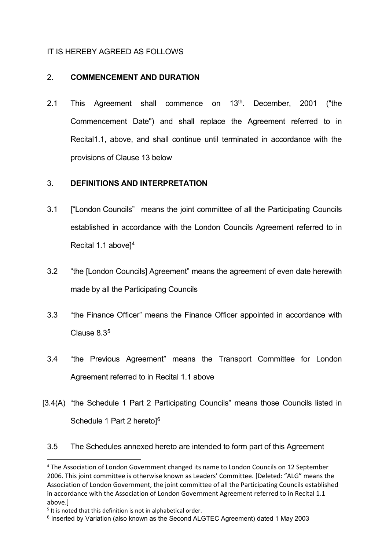## IT IS HEREBY AGREED AS FOLLOWS

## 2. **COMMENCEMENT AND DURATION**

2.1 This Agreement shall commence on 13<sup>th</sup>. December, 2001 ("the Commencement Date") and shall replace the Agreement referred to in Recital1.1, above, and shall continue until terminated in accordance with the provisions of Clause 13 below

## 3. **DEFINITIONS AND INTERPRETATION**

- 3.1 ["London Councils" means the joint committee of all the Participating Councils established in accordance with the London Councils Agreement referred to in Recital 1.1 above][4](#page-4-0)
- 3.2 "the [London Councils] Agreement" means the agreement of even date herewith made by all the Participating Councils
- 3.3 "the Finance Officer" means the Finance Officer appointed in accordance with Clause 8.[35](#page-4-1)
- 3.4 "the Previous Agreement" means the Transport Committee for London Agreement referred to in Recital 1.1 above
- [3.4(A) "the Schedule 1 Part 2 Participating Councils" means those Councils listed in Schedule 1 Part 2 hereto<sup>1[6](#page-4-2)</sup>
	- 3.5 The Schedules annexed hereto are intended to form part of this Agreement

<span id="page-4-0"></span><sup>4</sup> The Association of London Government changed its name to London Councils on 12 September 2006. This joint committee is otherwise known as Leaders' Committee. [Deleted: "ALG" means the Association of London Government, the joint committee of all the Participating Councils established in accordance with the Association of London Government Agreement referred to in Recital 1.1 above.]

<span id="page-4-1"></span> $5$  It is noted that this definition is not in alphabetical order.

<span id="page-4-2"></span><sup>6</sup> Inserted by Variation (also known as the Second ALGTEC Agreement) dated 1 May 2003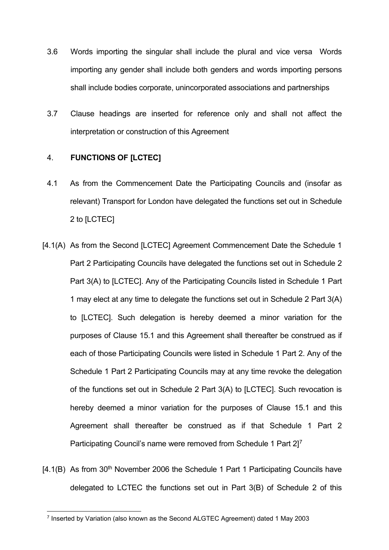- 3.6 Words importing the singular shall include the plural and vice versa Words importing any gender shall include both genders and words importing persons shall include bodies corporate, unincorporated associations and partnerships
- 3.7 Clause headings are inserted for reference only and shall not affect the interpretation or construction of this Agreement

## 4. **FUNCTIONS OF [LCTEC]**

- 4.1 As from the Commencement Date the Participating Councils and (insofar as relevant) Transport for London have delegated the functions set out in Schedule 2 to [LCTEC]
- [4.1(A) As from the Second [LCTEC] Agreement Commencement Date the Schedule 1 Part 2 Participating Councils have delegated the functions set out in Schedule 2 Part 3(A) to [LCTEC]. Any of the Participating Councils listed in Schedule 1 Part 1 may elect at any time to delegate the functions set out in Schedule 2 Part 3(A) to [LCTEC]. Such delegation is hereby deemed a minor variation for the purposes of Clause 15.1 and this Agreement shall thereafter be construed as if each of those Participating Councils were listed in Schedule 1 Part 2. Any of the Schedule 1 Part 2 Participating Councils may at any time revoke the delegation of the functions set out in Schedule 2 Part 3(A) to [LCTEC]. Such revocation is hereby deemed a minor variation for the purposes of Clause 15.1 and this Agreement shall thereafter be construed as if that Schedule 1 Part 2 Participating Council's name were removed from Schedule 1 Part 2]<sup>7</sup>
- [4.1(B) As from 30<sup>th</sup> November 2006 the Schedule 1 Part 1 Participating Councils have delegated to LCTEC the functions set out in Part 3(B) of Schedule 2 of this

<span id="page-5-0"></span><sup>7</sup> Inserted by Variation (also known as the Second ALGTEC Agreement) dated 1 May 2003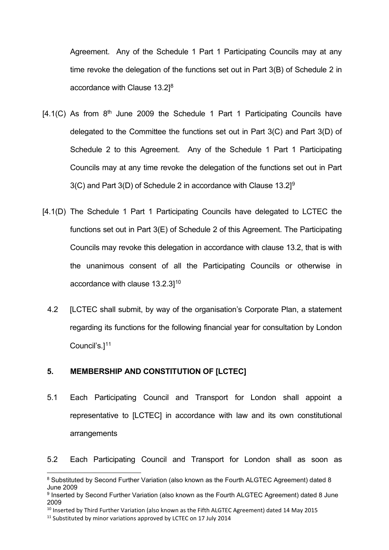Agreement. Any of the Schedule 1 Part 1 Participating Councils may at any time revoke the delegation of the functions set out in Part 3(B) of Schedule 2 in accordance with Clause 13.2]<sup>[8](#page-6-0)</sup>

- $[4.1(C)$  As from  $8<sup>th</sup>$  June 2009 the Schedule 1 Part 1 Participating Councils have delegated to the Committee the functions set out in Part 3(C) and Part 3(D) of Schedule 2 to this Agreement. Any of the Schedule 1 Part 1 Participating Councils may at any time revoke the delegation of the functions set out in Part  $3(C)$  and Part  $3(D)$  of Schedule 2 in accordance with Clause 13.2]<sup>[9](#page-6-1)</sup>
- [4.1(D) The Schedule 1 Part 1 Participating Councils have delegated to LCTEC the functions set out in Part 3(E) of Schedule 2 of this Agreement. The Participating Councils may revoke this delegation in accordance with clause 13.2, that is with the unanimous consent of all the Participating Councils or otherwise in accordance with clause 13.2.31<sup>[10](#page-6-2)</sup>
	- 4.2 [LCTEC shall submit, by way of the organisation's Corporate Plan, a statement regarding its functions for the following financial year for consultation by London Council's.[\]11](#page-6-3)

### **5. MEMBERSHIP AND CONSTITUTION OF [LCTEC]**

- 5.1 Each Participating Council and Transport for London shall appoint a representative to [LCTEC] in accordance with law and its own constitutional arrangements
- 5.2 Each Participating Council and Transport for London shall as soon as

<span id="page-6-2"></span><sup>10</sup> Inserted by Third Further Variation (also known as the Fifth ALGTEC Agreement) dated 14 May 2015

<span id="page-6-0"></span><sup>8</sup> Substituted by Second Further Variation (also known as the Fourth ALGTEC Agreement) dated 8 June 2009

<span id="page-6-1"></span><sup>9</sup> Inserted by Second Further Variation (also known as the Fourth ALGTEC Agreement) dated 8 June 2009

<span id="page-6-3"></span><sup>&</sup>lt;sup>11</sup> Substituted by minor variations approved by LCTEC on 17 July 2014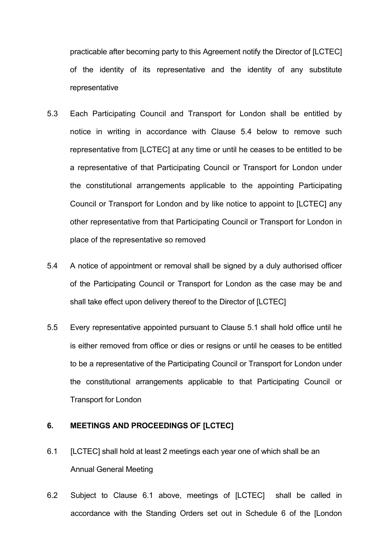practicable after becoming party to this Agreement notify the Director of [LCTEC] of the identity of its representative and the identity of any substitute representative

- 5.3 Each Participating Council and Transport for London shall be entitled by notice in writing in accordance with Clause 5.4 below to remove such representative from [LCTEC] at any time or until he ceases to be entitled to be a representative of that Participating Council or Transport for London under the constitutional arrangements applicable to the appointing Participating Council or Transport for London and by like notice to appoint to [LCTEC] any other representative from that Participating Council or Transport for London in place of the representative so removed
- 5.4 A notice of appointment or removal shall be signed by a duly authorised officer of the Participating Council or Transport for London as the case may be and shall take effect upon delivery thereof to the Director of [LCTEC]
- 5.5 Every representative appointed pursuant to Clause 5.1 shall hold office until he is either removed from office or dies or resigns or until he ceases to be entitled to be a representative of the Participating Council or Transport for London under the constitutional arrangements applicable to that Participating Council or Transport for London

## **6. MEETINGS AND PROCEEDINGS OF [LCTEC]**

- 6.1 [LCTEC] shall hold at least 2 meetings each year one of which shall be an Annual General Meeting
- 6.2 Subject to Clause 6.1 above, meetings of [LCTEC] shall be called in accordance with the Standing Orders set out in Schedule 6 of the [London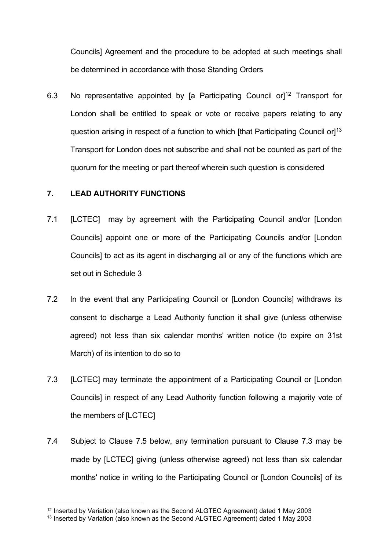Councils] Agreement and the procedure to be adopted at such meetings shall be determined in accordance with those Standing Orders

6.3 No representative appointed by [a Participating Council or]<sup>[12](#page-8-0)</sup> Transport for London shall be entitled to speak or vote or receive papers relating to any question arising in respect of a function to which [that Participating Council or]<sup>13</sup> Transport for London does not subscribe and shall not be counted as part of the quorum for the meeting or part thereof wherein such question is considered

#### **7. LEAD AUTHORITY FUNCTIONS**

- 7.1 [LCTEC] may by agreement with the Participating Council and/or [London Councils] appoint one or more of the Participating Councils and/or [London Councils] to act as its agent in discharging all or any of the functions which are set out in Schedule 3
- 7.2 In the event that any Participating Council or [London Councils] withdraws its consent to discharge a Lead Authority function it shall give (unless otherwise agreed) not less than six calendar months' written notice (to expire on 31st March) of its intention to do so to
- 7.3 [LCTEC] may terminate the appointment of a Participating Council or [London Councils] in respect of any Lead Authority function following a majority vote of the members of [LCTEC]
- 7.4 Subject to Clause 7.5 below, any termination pursuant to Clause 7.3 may be made by [LCTEC] giving (unless otherwise agreed) not less than six calendar months' notice in writing to the Participating Council or [London Councils] of its

<span id="page-8-0"></span><sup>&</sup>lt;sup>12</sup> Inserted by Variation (also known as the Second ALGTEC Agreement) dated 1 May 2003

<span id="page-8-1"></span> $13$  Inserted by Variation (also known as the Second ALGTEC Agreement) dated 1 May 2003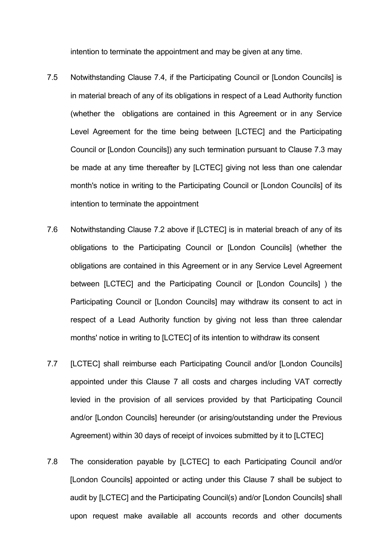intention to terminate the appointment and may be given at any time.

- 7.5 Notwithstanding Clause 7.4, if the Participating Council or [London Councils] is in material breach of any of its obligations in respect of a Lead Authority function (whether the obligations are contained in this Agreement or in any Service Level Agreement for the time being between [LCTEC] and the Participating Council or [London Councils]) any such termination pursuant to Clause 7.3 may be made at any time thereafter by [LCTEC] giving not less than one calendar month's notice in writing to the Participating Council or [London Councils] of its intention to terminate the appointment
- 7.6 Notwithstanding Clause 7.2 above if [LCTEC] is in material breach of any of its obligations to the Participating Council or [London Councils] (whether the obligations are contained in this Agreement or in any Service Level Agreement between [LCTEC] and the Participating Council or [London Councils] ) the Participating Council or [London Councils] may withdraw its consent to act in respect of a Lead Authority function by giving not less than three calendar months' notice in writing to [LCTEC] of its intention to withdraw its consent
- 7.7 [LCTEC] shall reimburse each Participating Council and/or [London Councils] appointed under this Clause 7 all costs and charges including VAT correctly levied in the provision of all services provided by that Participating Council and/or [London Councils] hereunder (or arising/outstanding under the Previous Agreement) within 30 days of receipt of invoices submitted by it to [LCTEC]
- 7.8 The consideration payable by [LCTEC] to each Participating Council and/or [London Councils] appointed or acting under this Clause 7 shall be subject to audit by [LCTEC] and the Participating Council(s) and/or [London Councils] shall upon request make available all accounts records and other documents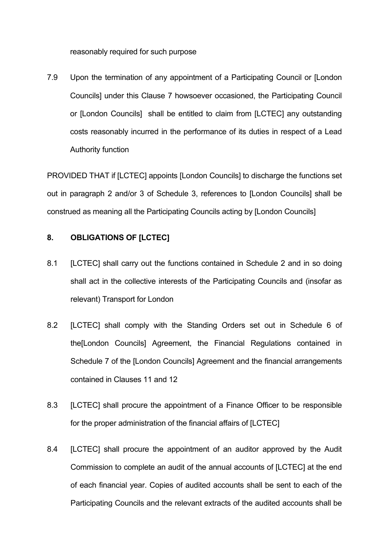reasonably required for such purpose

7.9 Upon the termination of any appointment of a Participating Council or [London Councils] under this Clause 7 howsoever occasioned, the Participating Council or [London Councils] shall be entitled to claim from [LCTEC] any outstanding costs reasonably incurred in the performance of its duties in respect of a Lead Authority function

PROVIDED THAT if [LCTEC] appoints [London Councils] to discharge the functions set out in paragraph 2 and/or 3 of Schedule 3, references to [London Councils] shall be construed as meaning all the Participating Councils acting by [London Councils]

#### **8. OBLIGATIONS OF [LCTEC]**

- 8.1 [LCTEC] shall carry out the functions contained in Schedule 2 and in so doing shall act in the collective interests of the Participating Councils and (insofar as relevant) Transport for London
- 8.2 [LCTEC] shall comply with the Standing Orders set out in Schedule 6 of the[London Councils] Agreement, the Financial Regulations contained in Schedule 7 of the [London Councils] Agreement and the financial arrangements contained in Clauses 11 and 12
- 8.3 [LCTEC] shall procure the appointment of a Finance Officer to be responsible for the proper administration of the financial affairs of [LCTEC]
- 8.4 [LCTEC] shall procure the appointment of an auditor approved by the Audit Commission to complete an audit of the annual accounts of [LCTEC] at the end of each financial year. Copies of audited accounts shall be sent to each of the Participating Councils and the relevant extracts of the audited accounts shall be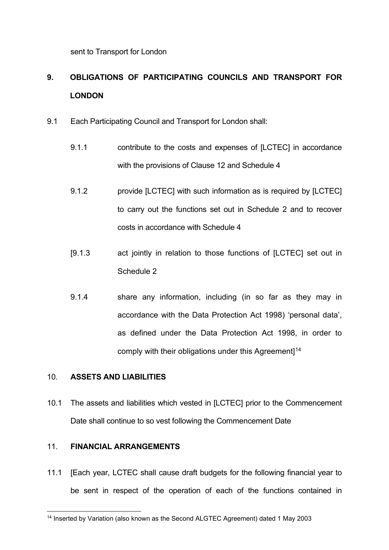sent to Transport for London

## **9. OBLIGATIONS OF PARTICIPATING COUNCILS AND TRANSPORT FOR LONDON**

- 9.1 Each Participating Council and Transport for London shall:
	- 9.1.1 contribute to the costs and expenses of [LCTEC] in accordance with the provisions of Clause 12 and Schedule 4
	- 9.1.2 provide [LCTEC] with such information as is required by [LCTEC] to carry out the functions set out in Schedule 2 and to recover costs in accordance with Schedule 4
	- [9.1.3 act jointly in relation to those functions of [LCTEC] set out in Schedule 2
	- 9.1.4 share any information, including (in so far as they may in accordance with the Data Protection Act 1998) 'personal data', as defined under the Data Protection Act 1998, in order to comply with their obligations under this Agreement<sup>[14](#page-11-0)</sup>

### 10. **ASSETS AND LIABILITIES**

10.1 The assets and liabilities which vested in [LCTEC] prior to the Commencement Date shall continue to so vest following the Commencement Date

## 11. **FINANCIAL ARRANGEMENTS**

11.1 [Each year, LCTEC shall cause draft budgets for the following financial year to be sent in respect of the operation of each of the functions contained in

<span id="page-11-0"></span><sup>14</sup> Inserted by Variation (also known as the Second ALGTEC Agreement) dated 1 May 2003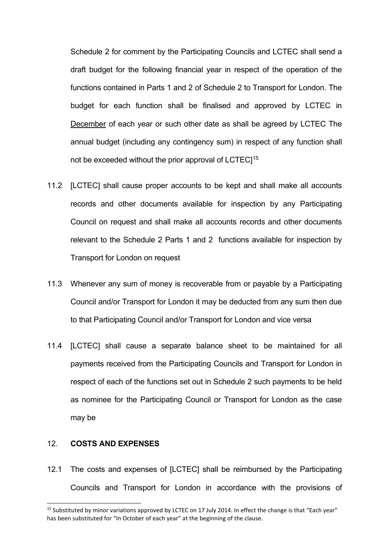Schedule 2 for comment by the Participating Councils and LCTEC shall send a draft budget for the following financial year in respect of the operation of the functions contained in Parts 1 and 2 of Schedule 2 to Transport for London. The budget for each function shall be finalised and approved by LCTEC in December of each year or such other date as shall be agreed by LCTEC The annual budget (including any contingency sum) in respect of any function shall not be exceeded without the prior approval of LCTEC<sup>[15](#page-12-0)</sup>

- 11.2 [LCTEC] shall cause proper accounts to be kept and shall make all accounts records and other documents available for inspection by any Participating Council on request and shall make all accounts records and other documents relevant to the Schedule 2 Parts 1 and 2 functions available for inspection by Transport for London on request
- 11.3 Whenever any sum of money is recoverable from or payable by a Participating Council and/or Transport for London it may be deducted from any sum then due to that Participating Council and/or Transport for London and vice versa
- 11.4 [LCTEC] shall cause a separate balance sheet to be maintained for all payments received from the Participating Councils and Transport for London in respect of each of the functions set out in Schedule 2 such payments to be held as nominee for the Participating Council or Transport for London as the case may be

### 12. **COSTS AND EXPENSES**

12.1 The costs and expenses of [LCTEC] shall be reimbursed by the Participating Councils and Transport for London in accordance with the provisions of

<span id="page-12-0"></span><sup>&</sup>lt;sup>15</sup> Substituted by minor variations approved by LCTEC on 17 July 2014. In effect the change is that "Each year" has been substituted for "In October of each year" at the beginning of the clause.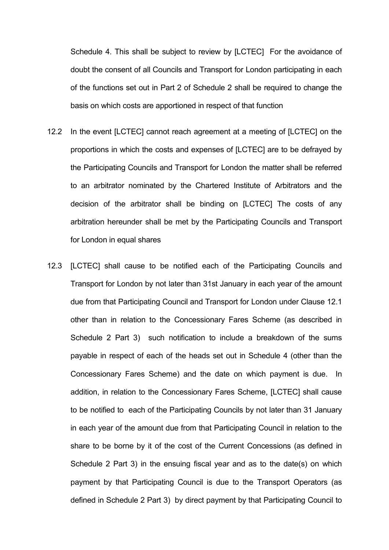Schedule 4. This shall be subject to review by [LCTEC] For the avoidance of doubt the consent of all Councils and Transport for London participating in each of the functions set out in Part 2 of Schedule 2 shall be required to change the basis on which costs are apportioned in respect of that function

- 12.2 In the event [LCTEC] cannot reach agreement at a meeting of [LCTEC] on the proportions in which the costs and expenses of [LCTEC] are to be defrayed by the Participating Councils and Transport for London the matter shall be referred to an arbitrator nominated by the Chartered Institute of Arbitrators and the decision of the arbitrator shall be binding on [LCTEC] The costs of any arbitration hereunder shall be met by the Participating Councils and Transport for London in equal shares
- 12.3 [LCTEC] shall cause to be notified each of the Participating Councils and Transport for London by not later than 31st January in each year of the amount due from that Participating Council and Transport for London under Clause 12.1 other than in relation to the Concessionary Fares Scheme (as described in Schedule 2 Part 3) such notification to include a breakdown of the sums payable in respect of each of the heads set out in Schedule 4 (other than the Concessionary Fares Scheme) and the date on which payment is due. In addition, in relation to the Concessionary Fares Scheme, [LCTEC] shall cause to be notified to each of the Participating Councils by not later than 31 January in each year of the amount due from that Participating Council in relation to the share to be borne by it of the cost of the Current Concessions (as defined in Schedule 2 Part 3) in the ensuing fiscal year and as to the date(s) on which payment by that Participating Council is due to the Transport Operators (as defined in Schedule 2 Part 3) by direct payment by that Participating Council to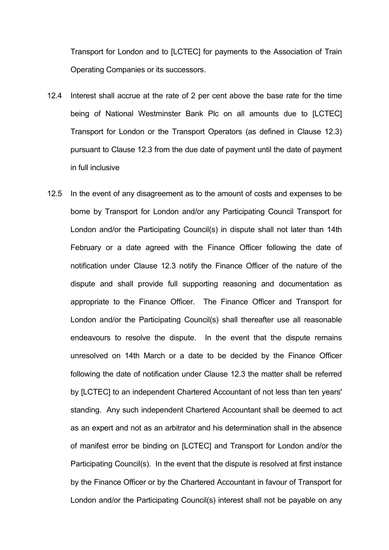Transport for London and to [LCTEC] for payments to the Association of Train Operating Companies or its successors.

- 12.4 Interest shall accrue at the rate of 2 per cent above the base rate for the time being of National Westminster Bank Plc on all amounts due to [LCTEC] Transport for London or the Transport Operators (as defined in Clause 12.3) pursuant to Clause 12.3 from the due date of payment until the date of payment in full inclusive
- 12.5 In the event of any disagreement as to the amount of costs and expenses to be borne by Transport for London and/or any Participating Council Transport for London and/or the Participating Council(s) in dispute shall not later than 14th February or a date agreed with the Finance Officer following the date of notification under Clause 12.3 notify the Finance Officer of the nature of the dispute and shall provide full supporting reasoning and documentation as appropriate to the Finance Officer. The Finance Officer and Transport for London and/or the Participating Council(s) shall thereafter use all reasonable endeavours to resolve the dispute. In the event that the dispute remains unresolved on 14th March or a date to be decided by the Finance Officer following the date of notification under Clause 12.3 the matter shall be referred by [LCTEC] to an independent Chartered Accountant of not less than ten years' standing. Any such independent Chartered Accountant shall be deemed to act as an expert and not as an arbitrator and his determination shall in the absence of manifest error be binding on [LCTEC] and Transport for London and/or the Participating Council(s). In the event that the dispute is resolved at first instance by the Finance Officer or by the Chartered Accountant in favour of Transport for London and/or the Participating Council(s) interest shall not be payable on any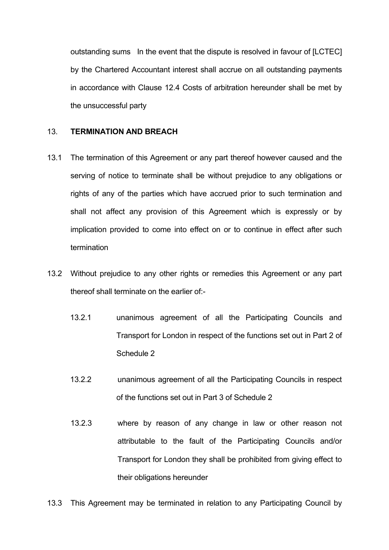outstanding sums In the event that the dispute is resolved in favour of [LCTEC] by the Chartered Accountant interest shall accrue on all outstanding payments in accordance with Clause 12.4 Costs of arbitration hereunder shall be met by the unsuccessful party

#### 13. **TERMINATION AND BREACH**

- 13.1 The termination of this Agreement or any part thereof however caused and the serving of notice to terminate shall be without prejudice to any obligations or rights of any of the parties which have accrued prior to such termination and shall not affect any provision of this Agreement which is expressly or by implication provided to come into effect on or to continue in effect after such termination
- 13.2 Without prejudice to any other rights or remedies this Agreement or any part thereof shall terminate on the earlier of:-
	- 13.2.1 unanimous agreement of all the Participating Councils and Transport for London in respect of the functions set out in Part 2 of Schedule 2
	- 13.2.2 unanimous agreement of all the Participating Councils in respect of the functions set out in Part 3 of Schedule 2
	- 13.2.3 where by reason of any change in law or other reason not attributable to the fault of the Participating Councils and/or Transport for London they shall be prohibited from giving effect to their obligations hereunder

13.3 This Agreement may be terminated in relation to any Participating Council by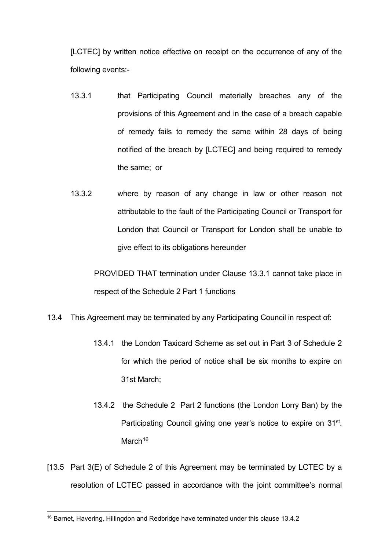[LCTEC] by written notice effective on receipt on the occurrence of any of the following events:-

- 13.3.1 that Participating Council materially breaches any of the provisions of this Agreement and in the case of a breach capable of remedy fails to remedy the same within 28 days of being notified of the breach by [LCTEC] and being required to remedy the same; or
- 13.3.2 where by reason of any change in law or other reason not attributable to the fault of the Participating Council or Transport for London that Council or Transport for London shall be unable to give effect to its obligations hereunder

PROVIDED THAT termination under Clause 13.3.1 cannot take place in respect of the Schedule 2 Part 1 functions

- 13.4 This Agreement may be terminated by any Participating Council in respect of:
	- 13.4.1 the London Taxicard Scheme as set out in Part 3 of Schedule 2 for which the period of notice shall be six months to expire on 31st March;
	- 13.4.2 the Schedule 2 Part 2 functions (the London Lorry Ban) by the Participating Council giving one year's notice to expire on 31<sup>st</sup>. March<sup>[16](#page-16-0)</sup>
- [13.5 Part 3(E) of Schedule 2 of this Agreement may be terminated by LCTEC by a resolution of LCTEC passed in accordance with the joint committee's normal

<span id="page-16-0"></span><sup>16</sup> Barnet, Havering, Hillingdon and Redbridge have terminated under this clause 13.4.2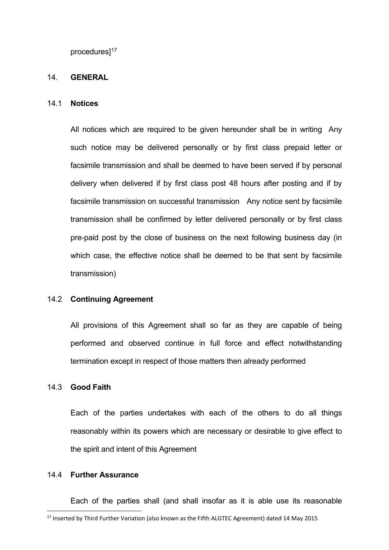procedures<sup>[17](#page-17-0)</sup>

#### 14. **GENERAL**

#### 14.1 **Notices**

All notices which are required to be given hereunder shall be in writing Any such notice may be delivered personally or by first class prepaid letter or facsimile transmission and shall be deemed to have been served if by personal delivery when delivered if by first class post 48 hours after posting and if by facsimile transmission on successful transmission Any notice sent by facsimile transmission shall be confirmed by letter delivered personally or by first class pre-paid post by the close of business on the next following business day (in which case, the effective notice shall be deemed to be that sent by facsimile transmission)

#### 14.2 **Continuing Agreement**

All provisions of this Agreement shall so far as they are capable of being performed and observed continue in full force and effect notwithstanding termination except in respect of those matters then already performed

#### 14.3 **Good Faith**

Each of the parties undertakes with each of the others to do all things reasonably within its powers which are necessary or desirable to give effect to the spirit and intent of this Agreement

#### 14.4 **Further Assurance**

Each of the parties shall (and shall insofar as it is able use its reasonable

<span id="page-17-0"></span><sup>&</sup>lt;sup>17</sup> Inserted by Third Further Variation (also known as the Fifth ALGTEC Agreement) dated 14 May 2015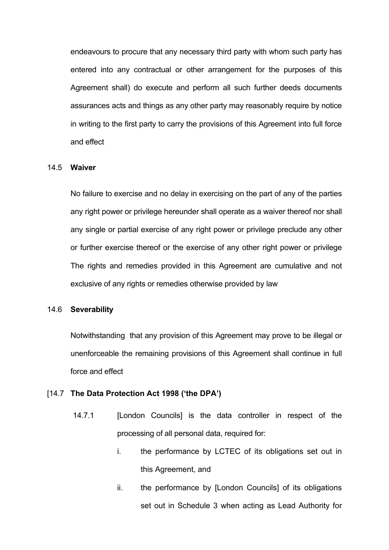endeavours to procure that any necessary third party with whom such party has entered into any contractual or other arrangement for the purposes of this Agreement shall) do execute and perform all such further deeds documents assurances acts and things as any other party may reasonably require by notice in writing to the first party to carry the provisions of this Agreement into full force and effect

#### 14.5 **Waiver**

No failure to exercise and no delay in exercising on the part of any of the parties any right power or privilege hereunder shall operate as a waiver thereof nor shall any single or partial exercise of any right power or privilege preclude any other or further exercise thereof or the exercise of any other right power or privilege The rights and remedies provided in this Agreement are cumulative and not exclusive of any rights or remedies otherwise provided by law

#### 14.6 **Severability**

Notwithstanding that any provision of this Agreement may prove to be illegal or unenforceable the remaining provisions of this Agreement shall continue in full force and effect

#### [14.7 **The Data Protection Act 1998 ('the DPA')**

- 14.7.1 [London Councils] is the data controller in respect of the processing of all personal data, required for:
	- i. the performance by LCTEC of its obligations set out in this Agreement, and
	- ii. the performance by [London Councils] of its obligations set out in Schedule 3 when acting as Lead Authority for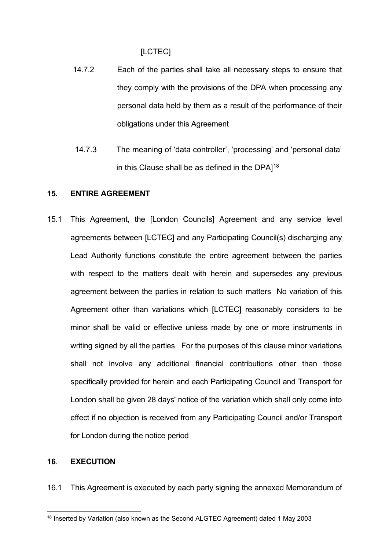[LCTEC]

- 14.7.2 Each of the parties shall take all necessary steps to ensure that they comply with the provisions of the DPA when processing any personal data held by them as a result of the performance of their obligations under this Agreement
- 14.7.3 The meaning of 'data controller', 'processing' and 'personal data' in this Clause shall be as defined in the DPA $1^{18}$  $1^{18}$  $1^{18}$

#### **15. ENTIRE AGREEMENT**

15.1 This Agreement, the [London Councils] Agreement and any service level agreements between [LCTEC] and any Participating Council(s) discharging any Lead Authority functions constitute the entire agreement between the parties with respect to the matters dealt with herein and supersedes any previous agreement between the parties in relation to such matters No variation of this Agreement other than variations which [LCTEC] reasonably considers to be minor shall be valid or effective unless made by one or more instruments in writing signed by all the parties For the purposes of this clause minor variations shall not involve any additional financial contributions other than those specifically provided for herein and each Participating Council and Transport for London shall be given 28 days' notice of the variation which shall only come into effect if no objection is received from any Participating Council and/or Transport for London during the notice period

## **16**. **EXECUTION**

16.1 This Agreement is executed by each party signing the annexed Memorandum of

<span id="page-19-0"></span><sup>&</sup>lt;sup>18</sup> Inserted by Variation (also known as the Second ALGTEC Agreement) dated 1 May 2003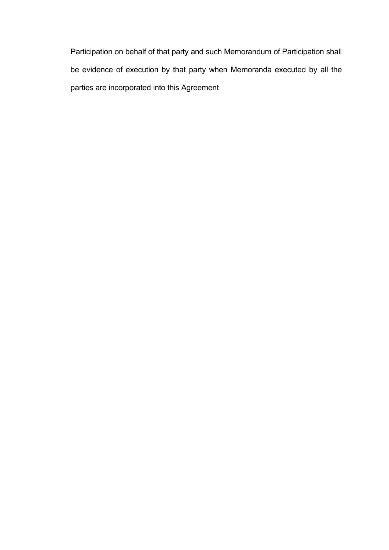Participation on behalf of that party and such Memorandum of Participation shall be evidence of execution by that party when Memoranda executed by all the parties are incorporated into this Agreement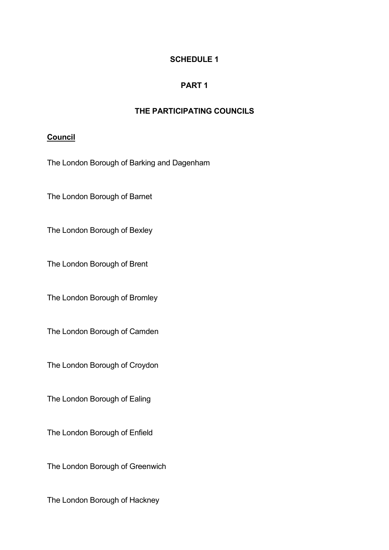## **SCHEDULE 1**

## **PART 1**

## **THE PARTICIPATING COUNCILS**

## **Council**

The London Borough of Barking and Dagenham

The London Borough of Barnet

The London Borough of Bexley

The London Borough of Brent

The London Borough of Bromley

The London Borough of Camden

The London Borough of Croydon

The London Borough of Ealing

The London Borough of Enfield

The London Borough of Greenwich

The London Borough of Hackney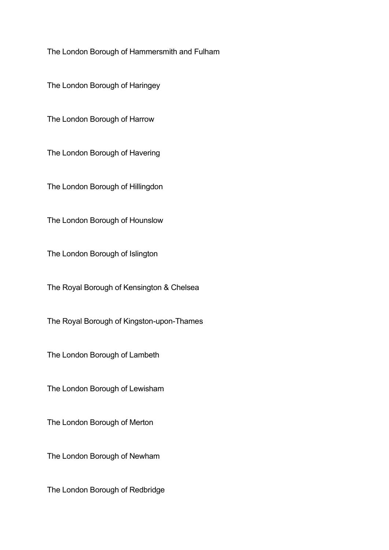The London Borough of Hammersmith and Fulham

The London Borough of Haringey

The London Borough of Harrow

The London Borough of Havering

The London Borough of Hillingdon

The London Borough of Hounslow

The London Borough of Islington

The Royal Borough of Kensington & Chelsea

The Royal Borough of Kingston-upon-Thames

The London Borough of Lambeth

The London Borough of Lewisham

The London Borough of Merton

The London Borough of Newham

The London Borough of Redbridge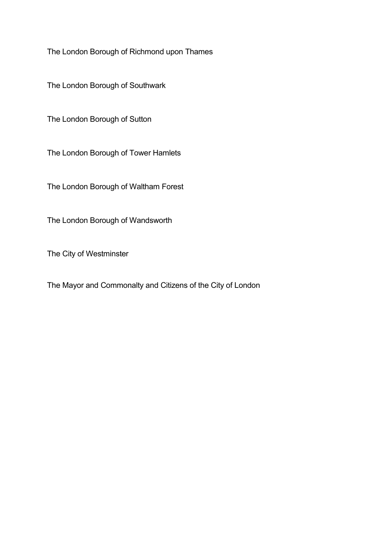The London Borough of Richmond upon Thames

The London Borough of Southwark

The London Borough of Sutton

The London Borough of Tower Hamlets

The London Borough of Waltham Forest

The London Borough of Wandsworth

The City of Westminster

The Mayor and Commonalty and Citizens of the City of London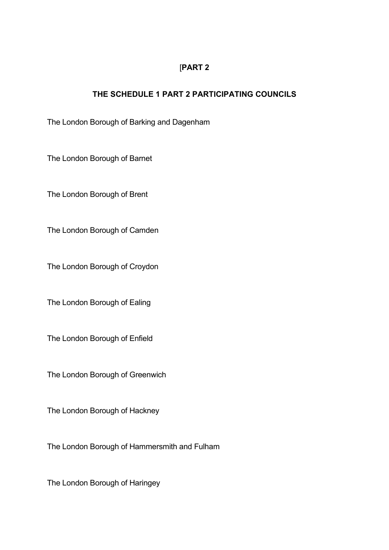## [**PART 2**

## **THE SCHEDULE 1 PART 2 PARTICIPATING COUNCILS**

The London Borough of Barking and Dagenham

The London Borough of Barnet

The London Borough of Brent

The London Borough of Camden

The London Borough of Croydon

The London Borough of Ealing

The London Borough of Enfield

The London Borough of Greenwich

The London Borough of Hackney

The London Borough of Hammersmith and Fulham

The London Borough of Haringey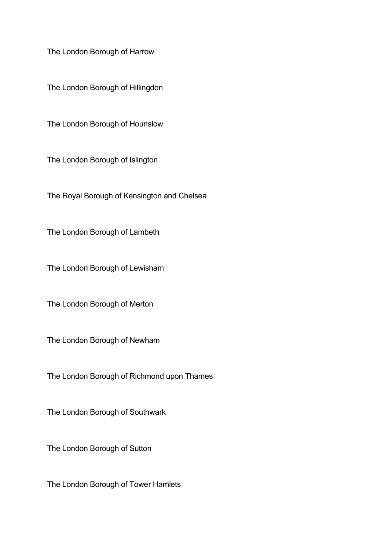The London Borough of Harrow

The London Borough of Hillingdon

The London Borough of Hounslow

The London Borough of Islington

The Royal Borough of Kensington and Chelsea

The London Borough of Lambeth

The London Borough of Lewisham

The London Borough of Merton

The London Borough of Newham

The London Borough of Richmond upon Thames

The London Borough of Southwark

The London Borough of Sutton

The London Borough of Tower Hamlets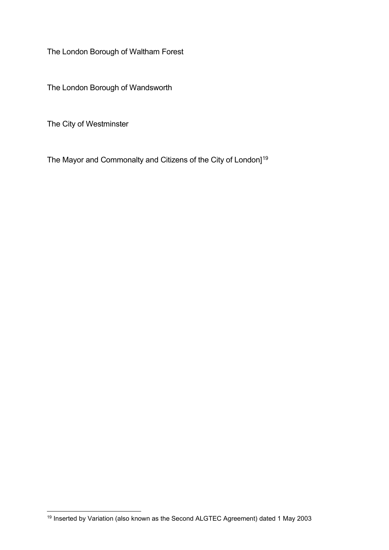The London Borough of Waltham Forest

The London Borough of Wandsworth

The City of Westminster

The Mayor and Commonalty and Citizens of the City of London]<sup>[19](#page-26-0)</sup>

<span id="page-26-0"></span><sup>19</sup> Inserted by Variation (also known as the Second ALGTEC Agreement) dated 1 May 2003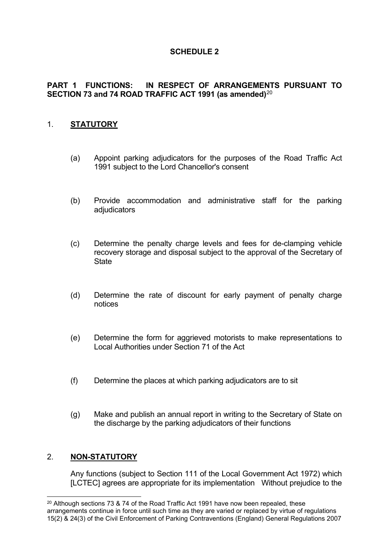## **SCHEDULE 2**

## **PART 1 FUNCTIONS: IN RESPECT OF ARRANGEMENTS PURSUANT TO SECTION 73 and 74 ROAD TRAFFIC ACT 1991 (as amended)**[20](#page-27-0)

## 1. **STATUTORY**

- (a) Appoint parking adjudicators for the purposes of the Road Traffic Act 1991 subject to the Lord Chancellor's consent
- (b) Provide accommodation and administrative staff for the parking adjudicators
- (c) Determine the penalty charge levels and fees for de-clamping vehicle recovery storage and disposal subject to the approval of the Secretary of **State**
- (d) Determine the rate of discount for early payment of penalty charge notices
- (e) Determine the form for aggrieved motorists to make representations to Local Authorities under Section 71 of the Act
- (f) Determine the places at which parking adjudicators are to sit
- (g) Make and publish an annual report in writing to the Secretary of State on the discharge by the parking adjudicators of their functions

### 2. **NON-STATUTORY**

Any functions (subject to Section 111 of the Local Government Act 1972) which [LCTEC] agrees are appropriate for its implementation Without prejudice to the

<span id="page-27-0"></span><sup>&</sup>lt;sup>20</sup> Although sections 73 & 74 of the Road Traffic Act 1991 have now been repealed, these arrangements continue in force until such time as they are varied or replaced by virtue of regulations 15(2) & 24(3) of the Civil Enforcement of Parking Contraventions (England) General Regulations 2007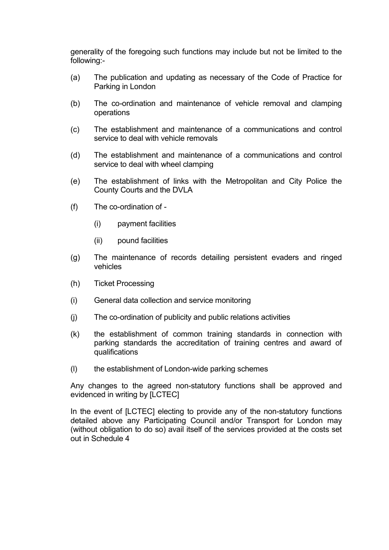generality of the foregoing such functions may include but not be limited to the following:-

- (a) The publication and updating as necessary of the Code of Practice for Parking in London
- (b) The co-ordination and maintenance of vehicle removal and clamping operations
- (c) The establishment and maintenance of a communications and control service to deal with vehicle removals
- (d) The establishment and maintenance of a communications and control service to deal with wheel clamping
- (e) The establishment of links with the Metropolitan and City Police the County Courts and the DVLA
- (f) The co-ordination of
	- (i) payment facilities
	- (ii) pound facilities
- (g) The maintenance of records detailing persistent evaders and ringed vehicles
- (h) Ticket Processing
- (i) General data collection and service monitoring
- (j) The co-ordination of publicity and public relations activities
- (k) the establishment of common training standards in connection with parking standards the accreditation of training centres and award of qualifications
- (l) the establishment of London-wide parking schemes

Any changes to the agreed non-statutory functions shall be approved and evidenced in writing by [LCTEC]

In the event of [LCTEC] electing to provide any of the non-statutory functions detailed above any Participating Council and/or Transport for London may (without obligation to do so) avail itself of the services provided at the costs set out in Schedule 4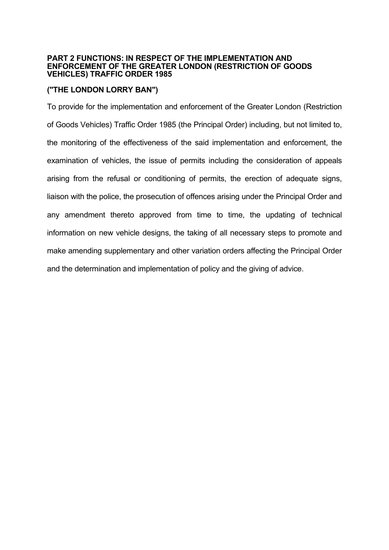#### **PART 2 FUNCTIONS: IN RESPECT OF THE IMPLEMENTATION AND ENFORCEMENT OF THE GREATER LONDON (RESTRICTION OF GOODS VEHICLES) TRAFFIC ORDER 1985**

### **("THE LONDON LORRY BAN")**

To provide for the implementation and enforcement of the Greater London (Restriction of Goods Vehicles) Traffic Order 1985 (the Principal Order) including, but not limited to, the monitoring of the effectiveness of the said implementation and enforcement, the examination of vehicles, the issue of permits including the consideration of appeals arising from the refusal or conditioning of permits, the erection of adequate signs, liaison with the police, the prosecution of offences arising under the Principal Order and any amendment thereto approved from time to time, the updating of technical information on new vehicle designs, the taking of all necessary steps to promote and make amending supplementary and other variation orders affecting the Principal Order and the determination and implementation of policy and the giving of advice.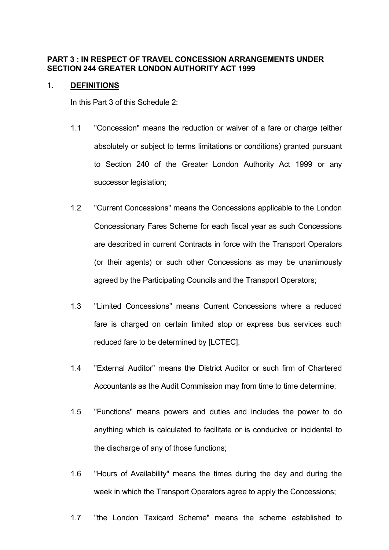#### **PART 3 : IN RESPECT OF TRAVEL CONCESSION ARRANGEMENTS UNDER SECTION 244 GREATER LONDON AUTHORITY ACT 1999**

#### 1. **DEFINITIONS**

In this Part 3 of this Schedule 2:

- 1.1 "Concession" means the reduction or waiver of a fare or charge (either absolutely or subject to terms limitations or conditions) granted pursuant to Section 240 of the Greater London Authority Act 1999 or any successor legislation;
- 1.2 "Current Concessions" means the Concessions applicable to the London Concessionary Fares Scheme for each fiscal year as such Concessions are described in current Contracts in force with the Transport Operators (or their agents) or such other Concessions as may be unanimously agreed by the Participating Councils and the Transport Operators;
- 1.3 "Limited Concessions" means Current Concessions where a reduced fare is charged on certain limited stop or express bus services such reduced fare to be determined by [LCTEC].
- 1.4 "External Auditor" means the District Auditor or such firm of Chartered Accountants as the Audit Commission may from time to time determine;
- 1.5 "Functions" means powers and duties and includes the power to do anything which is calculated to facilitate or is conducive or incidental to the discharge of any of those functions;
- 1.6 "Hours of Availability" means the times during the day and during the week in which the Transport Operators agree to apply the Concessions;
- 1.7 "the London Taxicard Scheme" means the scheme established to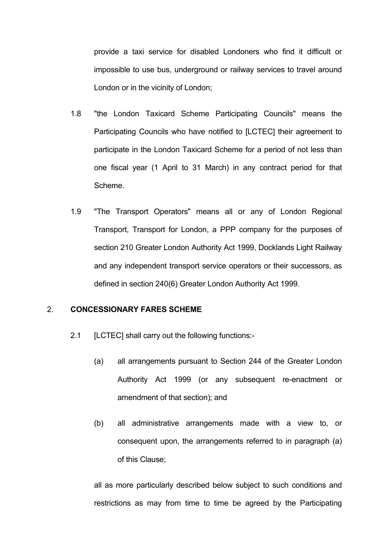provide a taxi service for disabled Londoners who find it difficult or impossible to use bus, underground or railway services to travel around London or in the vicinity of London;

- 1.8 "the London Taxicard Scheme Participating Councils" means the Participating Councils who have notified to [LCTEC] their agreement to participate in the London Taxicard Scheme for a period of not less than one fiscal year (1 April to 31 March) in any contract period for that Scheme.
- 1.9 "The Transport Operators" means all or any of London Regional Transport, Transport for London, a PPP company for the purposes of section 210 Greater London Authority Act 1999, Docklands Light Railway and any independent transport service operators or their successors, as defined in section 240(6) Greater London Authority Act 1999.

#### 2. **CONCESSIONARY FARES SCHEME**

- 2.1 [LCTEC] shall carry out the following functions:-
	- (a) all arrangements pursuant to Section 244 of the Greater London Authority Act 1999 (or any subsequent re-enactment or amendment of that section); and
	- (b) all administrative arrangements made with a view to, or consequent upon, the arrangements referred to in paragraph (a) of this Clause;

all as more particularly described below subject to such conditions and restrictions as may from time to time be agreed by the Participating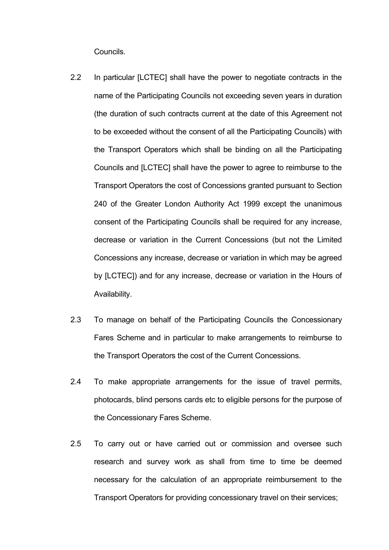Councils.

- 2.2 In particular [LCTEC] shall have the power to negotiate contracts in the name of the Participating Councils not exceeding seven years in duration (the duration of such contracts current at the date of this Agreement not to be exceeded without the consent of all the Participating Councils) with the Transport Operators which shall be binding on all the Participating Councils and [LCTEC] shall have the power to agree to reimburse to the Transport Operators the cost of Concessions granted pursuant to Section 240 of the Greater London Authority Act 1999 except the unanimous consent of the Participating Councils shall be required for any increase, decrease or variation in the Current Concessions (but not the Limited Concessions any increase, decrease or variation in which may be agreed by [LCTEC]) and for any increase, decrease or variation in the Hours of Availability.
- 2.3 To manage on behalf of the Participating Councils the Concessionary Fares Scheme and in particular to make arrangements to reimburse to the Transport Operators the cost of the Current Concessions.
- 2.4 To make appropriate arrangements for the issue of travel permits, photocards, blind persons cards etc to eligible persons for the purpose of the Concessionary Fares Scheme.
- 2.5 To carry out or have carried out or commission and oversee such research and survey work as shall from time to time be deemed necessary for the calculation of an appropriate reimbursement to the Transport Operators for providing concessionary travel on their services;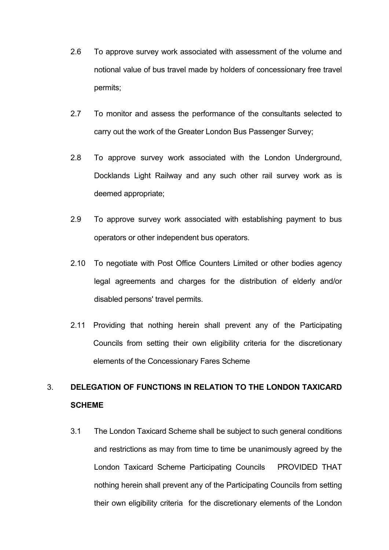- 2.6 To approve survey work associated with assessment of the volume and notional value of bus travel made by holders of concessionary free travel permits;
- 2.7 To monitor and assess the performance of the consultants selected to carry out the work of the Greater London Bus Passenger Survey;
- 2.8 To approve survey work associated with the London Underground, Docklands Light Railway and any such other rail survey work as is deemed appropriate;
- 2.9 To approve survey work associated with establishing payment to bus operators or other independent bus operators.
- 2.10 To negotiate with Post Office Counters Limited or other bodies agency legal agreements and charges for the distribution of elderly and/or disabled persons' travel permits.
- 2.11 Providing that nothing herein shall prevent any of the Participating Councils from setting their own eligibility criteria for the discretionary elements of the Concessionary Fares Scheme

## 3. **DELEGATION OF FUNCTIONS IN RELATION TO THE LONDON TAXICARD SCHEME**

3.1 The London Taxicard Scheme shall be subject to such general conditions and restrictions as may from time to time be unanimously agreed by the London Taxicard Scheme Participating Councils PROVIDED THAT nothing herein shall prevent any of the Participating Councils from setting their own eligibility criteria for the discretionary elements of the London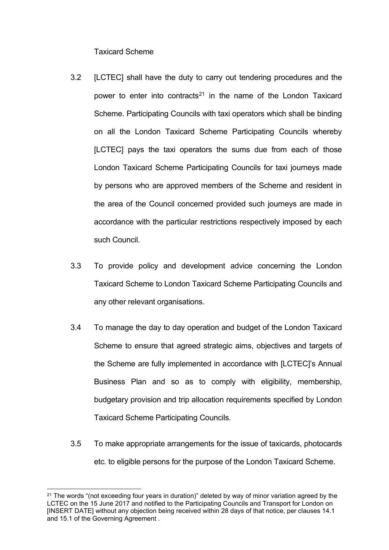Taxicard Scheme

- 3.2 [LCTEC] shall have the duty to carry out tendering procedures and the power to enter into contracts<sup>[21](#page-34-0)</sup> in the name of the London Taxicard Scheme. Participating Councils with taxi operators which shall be binding on all the London Taxicard Scheme Participating Councils whereby [LCTEC] pays the taxi operators the sums due from each of those London Taxicard Scheme Participating Councils for taxi journeys made by persons who are approved members of the Scheme and resident in the area of the Council concerned provided such journeys are made in accordance with the particular restrictions respectively imposed by each such Council.
- 3.3 To provide policy and development advice concerning the London Taxicard Scheme to London Taxicard Scheme Participating Councils and any other relevant organisations.
- 3.4 To manage the day to day operation and budget of the London Taxicard Scheme to ensure that agreed strategic aims, objectives and targets of the Scheme are fully implemented in accordance with [LCTEC]'s Annual Business Plan and so as to comply with eligibility, membership, budgetary provision and trip allocation requirements specified by London Taxicard Scheme Participating Councils.
- 3.5 To make appropriate arrangements for the issue of taxicards, photocards etc. to eligible persons for the purpose of the London Taxicard Scheme.

<span id="page-34-0"></span> $21$  The words "(not exceeding four years in duration)" deleted by way of minor variation agreed by the LCTEC on the 15 June 2017 and notified to the Participating Councils and Transport for London on [INSERT DATE] without any objection being received within 28 days of that notice, per clauses 14.1 and 15.1 of the Governing Agreement .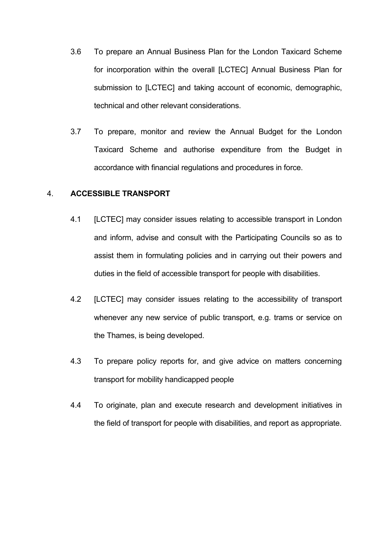- 3.6 To prepare an Annual Business Plan for the London Taxicard Scheme for incorporation within the overall [LCTEC] Annual Business Plan for submission to [LCTEC] and taking account of economic, demographic, technical and other relevant considerations.
- 3.7 To prepare, monitor and review the Annual Budget for the London Taxicard Scheme and authorise expenditure from the Budget in accordance with financial regulations and procedures in force.

#### 4. **ACCESSIBLE TRANSPORT**

- 4.1 [LCTEC] may consider issues relating to accessible transport in London and inform, advise and consult with the Participating Councils so as to assist them in formulating policies and in carrying out their powers and duties in the field of accessible transport for people with disabilities.
- 4.2 [LCTEC] may consider issues relating to the accessibility of transport whenever any new service of public transport, e.g. trams or service on the Thames, is being developed.
- 4.3 To prepare policy reports for, and give advice on matters concerning transport for mobility handicapped people
- 4.4 To originate, plan and execute research and development initiatives in the field of transport for people with disabilities, and report as appropriate.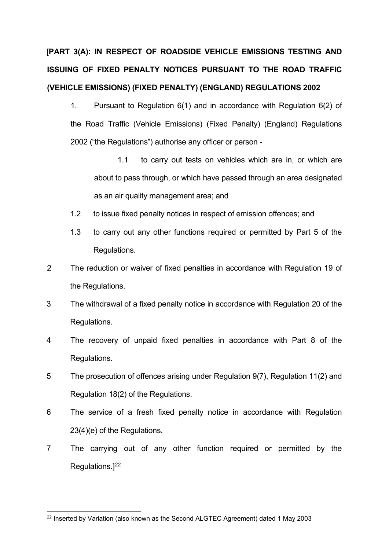## [**PART 3(A): IN RESPECT OF ROADSIDE VEHICLE EMISSIONS TESTING AND ISSUING OF FIXED PENALTY NOTICES PURSUANT TO THE ROAD TRAFFIC (VEHICLE EMISSIONS) (FIXED PENALTY) (ENGLAND) REGULATIONS 2002**

- 1. Pursuant to Regulation 6(1) and in accordance with Regulation 6(2) of the Road Traffic (Vehicle Emissions) (Fixed Penalty) (England) Regulations 2002 ("the Regulations") authorise any officer or person -
	- 1.1 to carry out tests on vehicles which are in, or which are about to pass through, or which have passed through an area designated as an air quality management area; and
- 1.2 to issue fixed penalty notices in respect of emission offences; and
- 1.3 to carry out any other functions required or permitted by Part 5 of the Regulations.
- 2 The reduction or waiver of fixed penalties in accordance with Regulation 19 of the Regulations.
- 3 The withdrawal of a fixed penalty notice in accordance with Regulation 20 of the Regulations.
- 4 The recovery of unpaid fixed penalties in accordance with Part 8 of the Regulations.
- 5 The prosecution of offences arising under Regulation 9(7), Regulation 11(2) and Regulation 18(2) of the Regulations.
- 6 The service of a fresh fixed penalty notice in accordance with Regulation 23(4)(e) of the Regulations.
- 7 The carrying out of any other function required or permitted by the Regulations.] [22](#page-36-0)

<span id="page-36-0"></span><sup>22</sup> Inserted by Variation (also known as the Second ALGTEC Agreement) dated 1 May 2003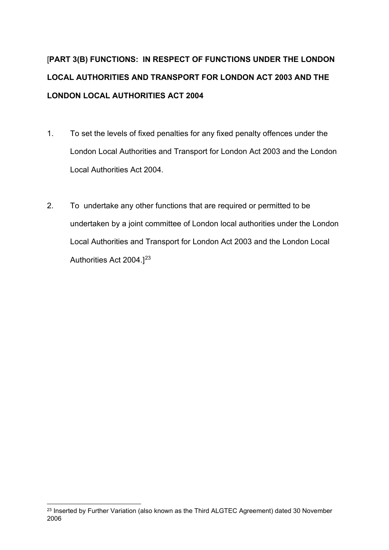## [**PART 3(B) FUNCTIONS: IN RESPECT OF FUNCTIONS UNDER THE LONDON LOCAL AUTHORITIES AND TRANSPORT FOR LONDON ACT 2003 AND THE LONDON LOCAL AUTHORITIES ACT 2004**

- 1. To set the levels of fixed penalties for any fixed penalty offences under the London Local Authorities and Transport for London Act 2003 and the London Local Authorities Act 2004.
- 2. To undertake any other functions that are required or permitted to be undertaken by a joint committee of London local authorities under the London Local Authorities and Transport for London Act 2003 and the London Local Authorities Act 2004.<sup>[[23](#page-37-0)]</sup>

<span id="page-37-0"></span><sup>&</sup>lt;sup>23</sup> Inserted by Further Variation (also known as the Third ALGTEC Agreement) dated 30 November 2006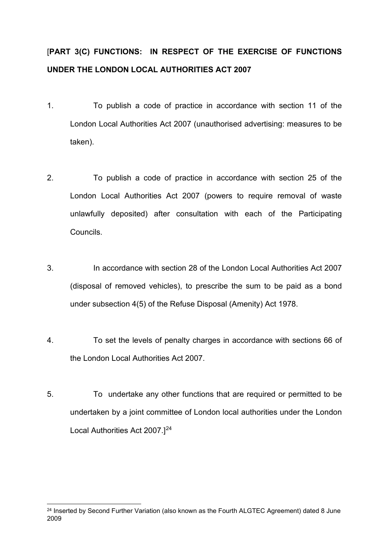## [**PART 3(C) FUNCTIONS: IN RESPECT OF THE EXERCISE OF FUNCTIONS UNDER THE LONDON LOCAL AUTHORITIES ACT 2007**

- 1. To publish a code of practice in accordance with section 11 of the London Local Authorities Act 2007 (unauthorised advertising: measures to be taken).
- 2. To publish a code of practice in accordance with section 25 of the London Local Authorities Act 2007 (powers to require removal of waste unlawfully deposited) after consultation with each of the Participating Councils.
- 3. In accordance with section 28 of the London Local Authorities Act 2007 (disposal of removed vehicles), to prescribe the sum to be paid as a bond under subsection 4(5) of the Refuse Disposal (Amenity) Act 1978.
- 4. To set the levels of penalty charges in accordance with sections 66 of the London Local Authorities Act 2007.
- 5. To undertake any other functions that are required or permitted to be undertaken by a joint committee of London local authorities under the London Local Authorities Act 2007.][24](#page-38-0)

<span id="page-38-0"></span><sup>&</sup>lt;sup>24</sup> Inserted by Second Further Variation (also known as the Fourth ALGTEC Agreement) dated 8 June 2009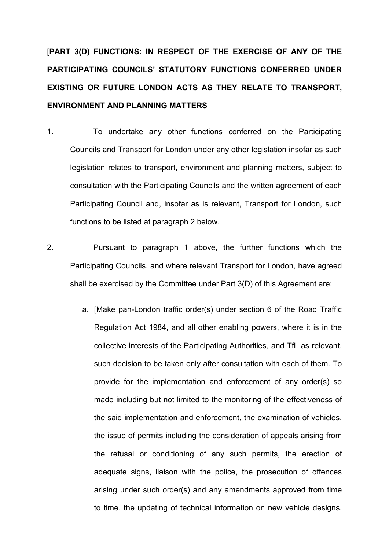[**PART 3(D) FUNCTIONS: IN RESPECT OF THE EXERCISE OF ANY OF THE PARTICIPATING COUNCILS' STATUTORY FUNCTIONS CONFERRED UNDER EXISTING OR FUTURE LONDON ACTS AS THEY RELATE TO TRANSPORT, ENVIRONMENT AND PLANNING MATTERS**

- 1. To undertake any other functions conferred on the Participating Councils and Transport for London under any other legislation insofar as such legislation relates to transport, environment and planning matters, subject to consultation with the Participating Councils and the written agreement of each Participating Council and, insofar as is relevant, Transport for London, such functions to be listed at paragraph 2 below.
- 2. Pursuant to paragraph 1 above, the further functions which the Participating Councils, and where relevant Transport for London, have agreed shall be exercised by the Committee under Part 3(D) of this Agreement are:
	- a. [Make pan-London traffic order(s) under section 6 of the Road Traffic Regulation Act 1984, and all other enabling powers, where it is in the collective interests of the Participating Authorities, and TfL as relevant, such decision to be taken only after consultation with each of them. To provide for the implementation and enforcement of any order(s) so made including but not limited to the monitoring of the effectiveness of the said implementation and enforcement, the examination of vehicles, the issue of permits including the consideration of appeals arising from the refusal or conditioning of any such permits, the erection of adequate signs, liaison with the police, the prosecution of offences arising under such order(s) and any amendments approved from time to time, the updating of technical information on new vehicle designs,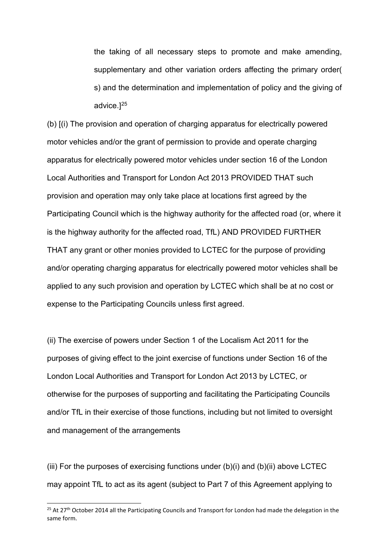the taking of all necessary steps to promote and make amending, supplementary and other variation orders affecting the primary order( s) and the determination and implementation of policy and the giving of advice.][25](#page-40-0)

(b) [(i) The provision and operation of charging apparatus for electrically powered motor vehicles and/or the grant of permission to provide and operate charging apparatus for electrically powered motor vehicles under section 16 of the London Local Authorities and Transport for London Act 2013 PROVIDED THAT such provision and operation may only take place at locations first agreed by the Participating Council which is the highway authority for the affected road (or, where it is the highway authority for the affected road, TfL) AND PROVIDED FURTHER THAT any grant or other monies provided to LCTEC for the purpose of providing and/or operating charging apparatus for electrically powered motor vehicles shall be applied to any such provision and operation by LCTEC which shall be at no cost or expense to the Participating Councils unless first agreed.

(ii) The exercise of powers under Section 1 of the Localism Act 2011 for the purposes of giving effect to the joint exercise of functions under Section 16 of the London Local Authorities and Transport for London Act 2013 by LCTEC, or otherwise for the purposes of supporting and facilitating the Participating Councils and/or TfL in their exercise of those functions, including but not limited to oversight and management of the arrangements

(iii) For the purposes of exercising functions under  $(b)(i)$  and  $(b)(ii)$  above LCTEC may appoint TfL to act as its agent (subject to Part 7 of this Agreement applying to

<span id="page-40-0"></span><sup>&</sup>lt;sup>25</sup> At 27<sup>th</sup> October 2014 all the Participating Councils and Transport for London had made the delegation in the same form.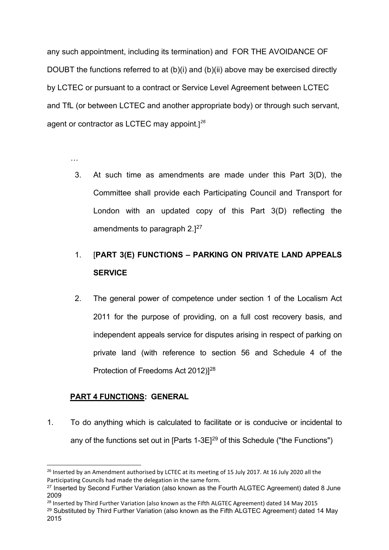any such appointment, including its termination) and FOR THE AVOIDANCE OF DOUBT the functions referred to at (b)(i) and (b)(ii) above may be exercised directly by LCTEC or pursuant to a contract or Service Level Agreement between LCTEC and TfL (or between LCTEC and another appropriate body) or through such servant, agent or contractor as LCTEC may appoint*.*] *[26](#page-41-0)* 

…

3. At such time as amendments are made under this Part 3(D), the Committee shall provide each Participating Council and Transport for London with an updated copy of this Part 3(D) reflecting the amendments to paragraph  $2.127$  $2.127$ 

## 1. [**PART 3(E) FUNCTIONS – PARKING ON PRIVATE LAND APPEALS SERVICE**

2. The general power of competence under section 1 of the Localism Act 2011 for the purpose of providing, on a full cost recovery basis, and independent appeals service for disputes arising in respect of parking on private land (with reference to section 56 and Schedule 4 of the Protection of Freedoms Act 2012)<sup>[[28](#page-41-2)</sup>

## **PART 4 FUNCTIONS: GENERAL**

1. To do anything which is calculated to facilitate or is conducive or incidental to any of the functions set out in  $[Parts 1-3E]^{29}$  $[Parts 1-3E]^{29}$  $[Parts 1-3E]^{29}$  of this Schedule ("the Functions")

<span id="page-41-0"></span><sup>&</sup>lt;sup>26</sup> Inserted by an Amendment authorised by LCTEC at its meeting of 15 July 2017. At 16 July 2020 all the Participating Councils had made the delegation in the same form.

<span id="page-41-1"></span><sup>&</sup>lt;sup>27</sup> Inserted by Second Further Variation (also known as the Fourth ALGTEC Agreement) dated 8 June 2009

<span id="page-41-2"></span><sup>&</sup>lt;sup>28</sup> Inserted by Third Further Variation (also known as the Fifth ALGTEC Agreement) dated 14 May 2015

<span id="page-41-3"></span><sup>&</sup>lt;sup>29</sup> Substituted by Third Further Variation (also known as the Fifth ALGTEC Agreement) dated 14 May 2015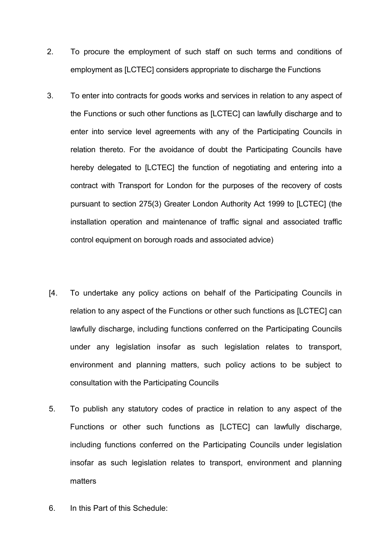- 2. To procure the employment of such staff on such terms and conditions of employment as [LCTEC] considers appropriate to discharge the Functions
- 3. To enter into contracts for goods works and services in relation to any aspect of the Functions or such other functions as [LCTEC] can lawfully discharge and to enter into service level agreements with any of the Participating Councils in relation thereto. For the avoidance of doubt the Participating Councils have hereby delegated to [LCTEC] the function of negotiating and entering into a contract with Transport for London for the purposes of the recovery of costs pursuant to section 275(3) Greater London Authority Act 1999 to [LCTEC] (the installation operation and maintenance of traffic signal and associated traffic control equipment on borough roads and associated advice)
- [4. To undertake any policy actions on behalf of the Participating Councils in relation to any aspect of the Functions or other such functions as [LCTEC] can lawfully discharge, including functions conferred on the Participating Councils under any legislation insofar as such legislation relates to transport, environment and planning matters, such policy actions to be subject to consultation with the Participating Councils
- 5. To publish any statutory codes of practice in relation to any aspect of the Functions or other such functions as [LCTEC] can lawfully discharge, including functions conferred on the Participating Councils under legislation insofar as such legislation relates to transport, environment and planning matters
- 6. In this Part of this Schedule: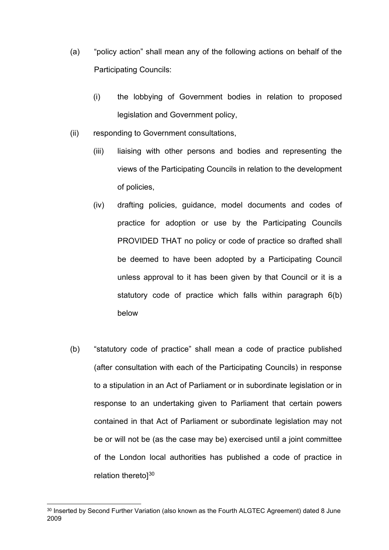- (a) "policy action" shall mean any of the following actions on behalf of the Participating Councils:
	- (i) the lobbying of Government bodies in relation to proposed legislation and Government policy,
- (ii) responding to Government consultations,
	- (iii) liaising with other persons and bodies and representing the views of the Participating Councils in relation to the development of policies,
	- (iv) drafting policies, guidance, model documents and codes of practice for adoption or use by the Participating Councils PROVIDED THAT no policy or code of practice so drafted shall be deemed to have been adopted by a Participating Council unless approval to it has been given by that Council or it is a statutory code of practice which falls within paragraph 6(b) below
- (b) "statutory code of practice" shall mean a code of practice published (after consultation with each of the Participating Councils) in response to a stipulation in an Act of Parliament or in subordinate legislation or in response to an undertaking given to Parliament that certain powers contained in that Act of Parliament or subordinate legislation may not be or will not be (as the case may be) exercised until a joint committee of the London local authorities has published a code of practice in relation theretol<sup>[30](#page-43-0)</sup>

<span id="page-43-0"></span><sup>&</sup>lt;sup>30</sup> Inserted by Second Further Variation (also known as the Fourth ALGTEC Agreement) dated 8 June 2009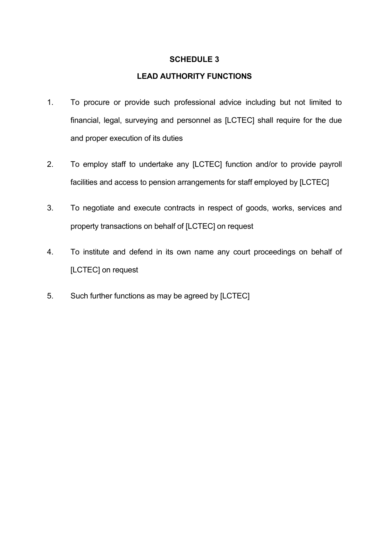### **SCHEDULE 3**

### **LEAD AUTHORITY FUNCTIONS**

- 1. To procure or provide such professional advice including but not limited to financial, legal, surveying and personnel as [LCTEC] shall require for the due and proper execution of its duties
- 2. To employ staff to undertake any [LCTEC] function and/or to provide payroll facilities and access to pension arrangements for staff employed by [LCTEC]
- 3. To negotiate and execute contracts in respect of goods, works, services and property transactions on behalf of [LCTEC] on request
- 4. To institute and defend in its own name any court proceedings on behalf of [LCTEC] on request
- 5. Such further functions as may be agreed by [LCTEC]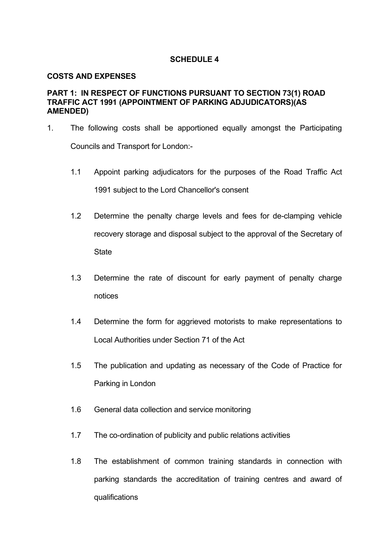#### **SCHEDULE 4**

#### **COSTS AND EXPENSES**

#### **PART 1: IN RESPECT OF FUNCTIONS PURSUANT TO SECTION 73(1) ROAD TRAFFIC ACT 1991 (APPOINTMENT OF PARKING ADJUDICATORS)(AS AMENDED)**

- 1. The following costs shall be apportioned equally amongst the Participating Councils and Transport for London:-
	- 1.1 Appoint parking adjudicators for the purposes of the Road Traffic Act 1991 subject to the Lord Chancellor's consent
	- 1.2 Determine the penalty charge levels and fees for de-clamping vehicle recovery storage and disposal subject to the approval of the Secretary of **State**
	- 1.3 Determine the rate of discount for early payment of penalty charge notices
	- 1.4 Determine the form for aggrieved motorists to make representations to Local Authorities under Section 71 of the Act
	- 1.5 The publication and updating as necessary of the Code of Practice for Parking in London
	- 1.6 General data collection and service monitoring
	- 1.7 The co-ordination of publicity and public relations activities
	- 1.8 The establishment of common training standards in connection with parking standards the accreditation of training centres and award of qualifications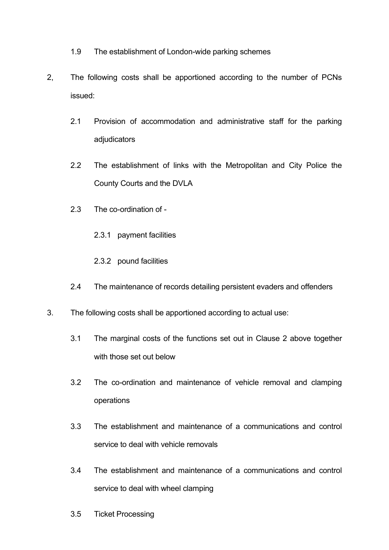- 1.9 The establishment of London-wide parking schemes
- 2, The following costs shall be apportioned according to the number of PCNs issued:
	- 2.1 Provision of accommodation and administrative staff for the parking adiudicators
	- 2.2 The establishment of links with the Metropolitan and City Police the County Courts and the DVLA
	- 2.3 The co-ordination of
		- 2.3.1 payment facilities
		- 2.3.2 pound facilities
	- 2.4 The maintenance of records detailing persistent evaders and offenders
- 3. The following costs shall be apportioned according to actual use:
	- 3.1 The marginal costs of the functions set out in Clause 2 above together with those set out below
	- 3.2 The co-ordination and maintenance of vehicle removal and clamping operations
	- 3.3 The establishment and maintenance of a communications and control service to deal with vehicle removals
	- 3.4 The establishment and maintenance of a communications and control service to deal with wheel clamping
	- 3.5 Ticket Processing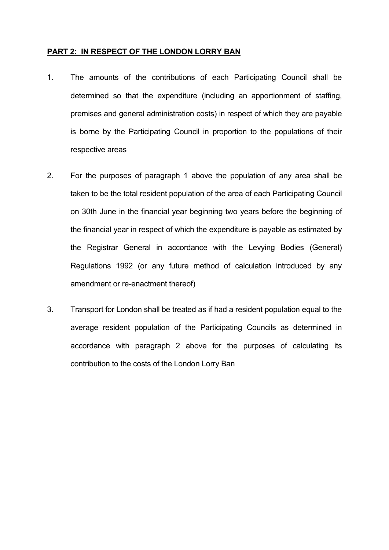#### **PART 2: IN RESPECT OF THE LONDON LORRY BAN**

- 1. The amounts of the contributions of each Participating Council shall be determined so that the expenditure (including an apportionment of staffing, premises and general administration costs) in respect of which they are payable is borne by the Participating Council in proportion to the populations of their respective areas
- 2. For the purposes of paragraph 1 above the population of any area shall be taken to be the total resident population of the area of each Participating Council on 30th June in the financial year beginning two years before the beginning of the financial year in respect of which the expenditure is payable as estimated by the Registrar General in accordance with the Levying Bodies (General) Regulations 1992 (or any future method of calculation introduced by any amendment or re-enactment thereof)
- 3. Transport for London shall be treated as if had a resident population equal to the average resident population of the Participating Councils as determined in accordance with paragraph 2 above for the purposes of calculating its contribution to the costs of the London Lorry Ban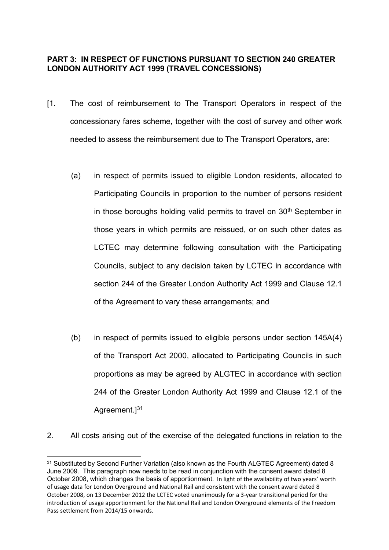## **PART 3: IN RESPECT OF FUNCTIONS PURSUANT TO SECTION 240 GREATER LONDON AUTHORITY ACT 1999 (TRAVEL CONCESSIONS)**

- [1. The cost of reimbursement to The Transport Operators in respect of the concessionary fares scheme, together with the cost of survey and other work needed to assess the reimbursement due to The Transport Operators, are:
	- (a) in respect of permits issued to eligible London residents, allocated to Participating Councils in proportion to the number of persons resident in those boroughs holding valid permits to travel on  $30<sup>th</sup>$  September in those years in which permits are reissued, or on such other dates as LCTEC may determine following consultation with the Participating Councils, subject to any decision taken by LCTEC in accordance with section 244 of the Greater London Authority Act 1999 and Clause 12.1 of the Agreement to vary these arrangements; and
	- (b) in respect of permits issued to eligible persons under section 145A(4) of the Transport Act 2000, allocated to Participating Councils in such proportions as may be agreed by ALGTEC in accordance with section 244 of the Greater London Authority Act 1999 and Clause 12.1 of the Agreement.]<sup>[31](#page-48-0)</sup>
- 2. All costs arising out of the exercise of the delegated functions in relation to the

<span id="page-48-0"></span><sup>&</sup>lt;sup>31</sup> Substituted by Second Further Variation (also known as the Fourth ALGTEC Agreement) dated 8 June 2009. This paragraph now needs to be read in conjunction with the consent award dated 8 October 2008, which changes the basis of apportionment. In light of the availability of two years' worth of usage data for London Overground and National Rail and consistent with the consent award dated 8 October 2008, on 13 December 2012 the LCTEC voted unanimously for a 3-year transitional period for the introduction of usage apportionment for the National Rail and London Overground elements of the Freedom Pass settlement from 2014/15 onwards.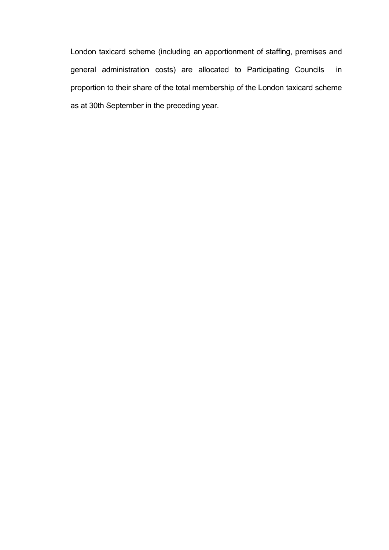London taxicard scheme (including an apportionment of staffing, premises and general administration costs) are allocated to Participating Councils in proportion to their share of the total membership of the London taxicard scheme as at 30th September in the preceding year.